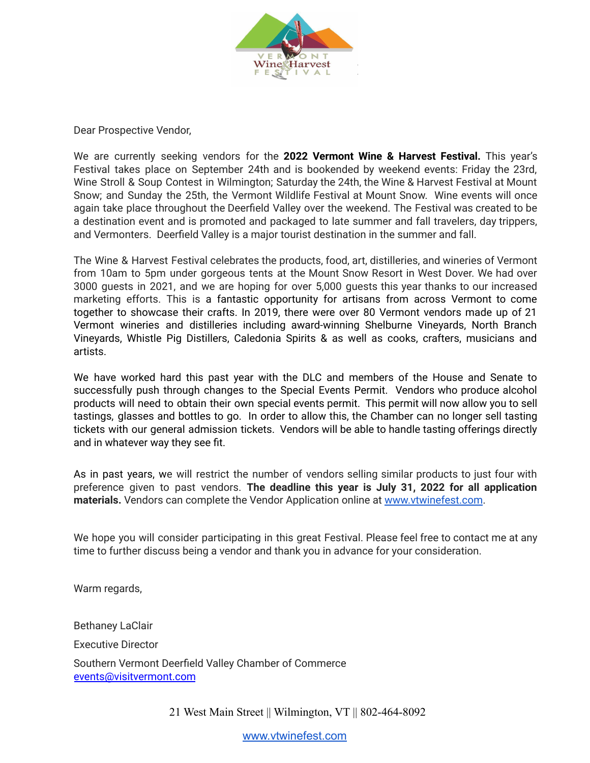

Dear Prospective Vendor,

We are currently seeking vendors for the **2022 Vermont Wine & Harvest Festival.** This year's Festival takes place on September 24th and is bookended by weekend events: Friday the 23rd, Wine Stroll & Soup Contest in Wilmington; Saturday the 24th, the Wine & Harvest Festival at Mount Snow; and Sunday the 25th, the Vermont Wildlife Festival at Mount Snow. Wine events will once again take place throughout the Deerfield Valley over the weekend. The Festival was created to be a destination event and is promoted and packaged to late summer and fall travelers, day trippers, and Vermonters. Deerfield Valley is a major tourist destination in the summer and fall.

The Wine & Harvest Festival celebrates the products, food, art, distilleries, and wineries of Vermont from 10am to 5pm under gorgeous tents at the Mount Snow Resort in West Dover. We had over 3000 guests in 2021, and we are hoping for over 5,000 guests this year thanks to our increased marketing efforts. This is a fantastic opportunity for artisans from across Vermont to come together to showcase their crafts. In 2019, there were over 80 Vermont vendors made up of 21 Vermont wineries and distilleries including award-winning Shelburne Vineyards, North Branch Vineyards, Whistle Pig Distillers, Caledonia Spirits & as well as cooks, crafters, musicians and artists.

We have worked hard this past year with the DLC and members of the House and Senate to successfully push through changes to the Special Events Permit. Vendors who produce alcohol products will need to obtain their own special events permit. This permit will now allow you to sell tastings, glasses and bottles to go. In order to allow this, the Chamber can no longer sell tasting tickets with our general admission tickets. Vendors will be able to handle tasting offerings directly and in whatever way they see fit.

As in past years, we will restrict the number of vendors selling similar products to just four with preference given to past vendors. **The deadline this year is July 31, 2022 for all application materials.** Vendors can complete the Vendor Application online at [www.vtwinefest.com](http://www.vtwinefest.com).

We hope you will consider participating in this great Festival. Please feel free to contact me at any time to further discuss being a vendor and thank you in advance for your consideration.

Warm regards,

Bethaney LaClair Executive Director Southern Vermont Deerfield Valley Chamber of Commerce [events@visitvermont.com](mailto:events@visitvermont.com)

21 West Main Street || Wilmington, VT || 802-464-8092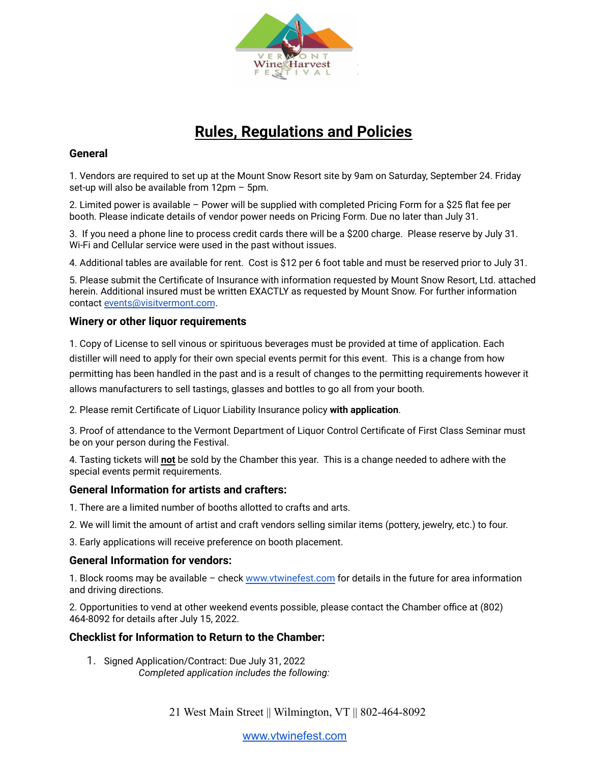

# **Rules, Regulations and Policies**

### **General**

1. Vendors are required to set up at the Mount Snow Resort site by 9am on Saturday, September 24. Friday set-up will also be available from 12pm – 5pm.

2. Limited power is available – Power will be supplied with completed Pricing Form for a \$25 flat fee per booth. Please indicate details of vendor power needs on Pricing Form. Due no later than July 31.

3. If you need a phone line to process credit cards there will be a \$200 charge. Please reserve by July 31. Wi-Fi and Cellular service were used in the past without issues.

4. Additional tables are available for rent. Cost is \$12 per 6 foot table and must be reserved prior to July 31.

5. Please submit the Certificate of Insurance with information requested by Mount Snow Resort, Ltd. attached herein. Additional insured must be written EXACTLY as requested by Mount Snow. For further information contact [events@visitvermont.com](mailto:events@visitvermont.com).

#### **Winery or other liquor requirements**

1. Copy of License to sell vinous or spirituous beverages must be provided at time of application. Each distiller will need to apply for their own special events permit for this event. This is a change from how permitting has been handled in the past and is a result of changes to the permitting requirements however it allows manufacturers to sell tastings, glasses and bottles to go all from your booth.

2. Please remit Certificate of Liquor Liability Insurance policy **with application**.

3. Proof of attendance to the Vermont Department of Liquor Control Certificate of First Class Seminar must be on your person during the Festival.

4. Tasting tickets will **not** be sold by the Chamber this year. This is a change needed to adhere with the special events permit requirements.

#### **General Information for artists and crafters:**

- 1. There are a limited number of booths allotted to crafts and arts.
- 2. We will limit the amount of artist and craft vendors selling similar items (pottery, jewelry, etc.) to four.

3. Early applications will receive preference on booth placement.

#### **General Information for vendors:**

1. Block rooms may be available – check [www.vtwinefest.com](http://www.thevermontfestival.com) for details in the future for area information and driving directions.

2. Opportunities to vend at other weekend events possible, please contact the Chamber office at (802) 464-8092 for details after July 15, 2022.

#### **Checklist for Information to Return to the Chamber:**

1. Signed Application/Contract: Due July 31, 2022 *Completed application includes the following:*

21 West Main Street || Wilmington, VT || 802-464-8092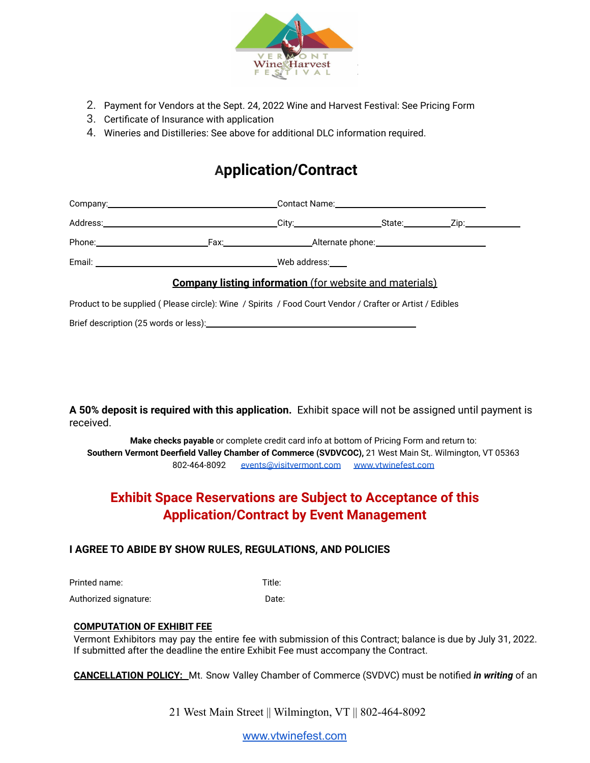

- 2. Payment for Vendors at the Sept. 24, 2022 Wine and Harvest Festival: See Pricing Form
- 3. Certificate of Insurance with application
- 4. Wineries and Distilleries: See above for additional DLC information required.

## **Application/Contract**

|                                                                                                          |  |  | <b>Company listing information</b> (for website and materials) |  |  |
|----------------------------------------------------------------------------------------------------------|--|--|----------------------------------------------------------------|--|--|
| Product to be supplied (Please circle): Wine / Spirits / Food Court Vendor / Crafter or Artist / Edibles |  |  |                                                                |  |  |
|                                                                                                          |  |  |                                                                |  |  |

**A 50% deposit is required with this application.** Exhibit space will not be assigned until payment is received.

**Make checks payable** or complete credit card info at bottom of Pricing Form and return to: **Southern Vermont Deerfield Valley Chamber of Commerce (SVDVCOC),** 21 West Main St,. Wilmington, VT 05363 802-464-8092 [events@visitvermont.com](mailto:events@visitvermont.com) [www.vtwinefest.com](http://www.vtwinefest.com)

### **Exhibit Space Reservations are Subject to Acceptance of this Application/Contract by Event Management**

#### **I AGREE TO ABIDE BY SHOW RULES, REGULATIONS, AND POLICIES**

Printed name: Title:

Authorized signature: Date:

#### **COMPUTATION OF EXHIBIT FEE**

Vermont Exhibitors may pay the entire fee with submission of this Contract; balance is due by July 31, 2022. If submitted after the deadline the entire Exhibit Fee must accompany the Contract.

**CANCELLATION POLICY:** Mt. Snow Valley Chamber of Commerce (SVDVC) must be notified *in writing* of an

21 West Main Street || Wilmington, VT || 802-464-8092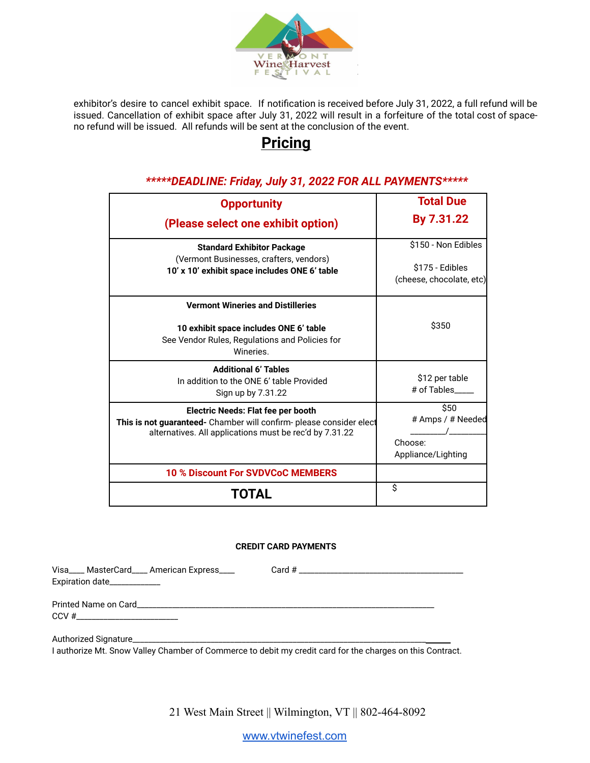

exhibitor's desire to cancel exhibit space. If notification is received before July 31, 2022, a full refund will be issued. Cancellation of exhibit space after July 31, 2022 will result in a forfeiture of the total cost of spaceno refund will be issued. All refunds will be sent at the conclusion of the event.

## **Pricing**

#### **Opportunity (Please select one exhibit option) Total Due By 7.31.22 Standard Exhibitor Package** (Vermont Businesses, crafters, vendors) **10' x 10' exhibit space includes ONE 6' table** \$150 - Non Edibles \$175 - Edibles (cheese, chocolate, etc) **Vermont Wineries and Distilleries 10 exhibit space includes ONE 6' table** See Vendor Rules, Regulations and Policies for Wineries. \$350 **Additional 6' Tables** In addition to the ONE 6' table Provided Sign up by 7.31.22 \$12 per table # of Tables\_\_\_\_\_ **Electric Needs: Flat fee per booth This is not guaranteed-** Chamber will confirm- please consider elect alternatives. All applications must be rec'd by 7.31.22  $\overline{$}$ \$50 # Amps / # Needed  $\sqrt{2}$ Choose: Appliance/Lighting **10 % Discount For SVDVCoC MEMBERS TOTAL** \$

### *\*\*\*\*\*DEADLINE: Friday, July 31, 2022 FOR ALL PAYMENTS\*\*\*\*\**

#### **CREDIT CARD PAYMENTS**

Visa\_\_\_\_ MasterCard\_\_\_\_ American Express\_\_\_\_ Card # \_\_\_ Expiration date\_\_\_\_\_\_\_\_\_\_\_\_\_

Printed Name on Card\_\_\_\_\_\_\_\_\_\_\_\_\_\_\_\_\_\_\_\_\_\_\_\_\_\_\_\_\_\_\_\_\_\_\_\_\_\_\_\_\_\_\_\_\_\_\_\_\_\_\_\_\_\_\_\_\_\_\_\_\_\_\_\_\_\_\_\_\_\_\_\_\_\_\_\_  $CCV \#$ 

Authorized Signature\_

I authorize Mt. Snow Valley Chamber of Commerce to debit my credit card for the charges on this Contract.

21 West Main Street || Wilmington, VT || 802-464-8092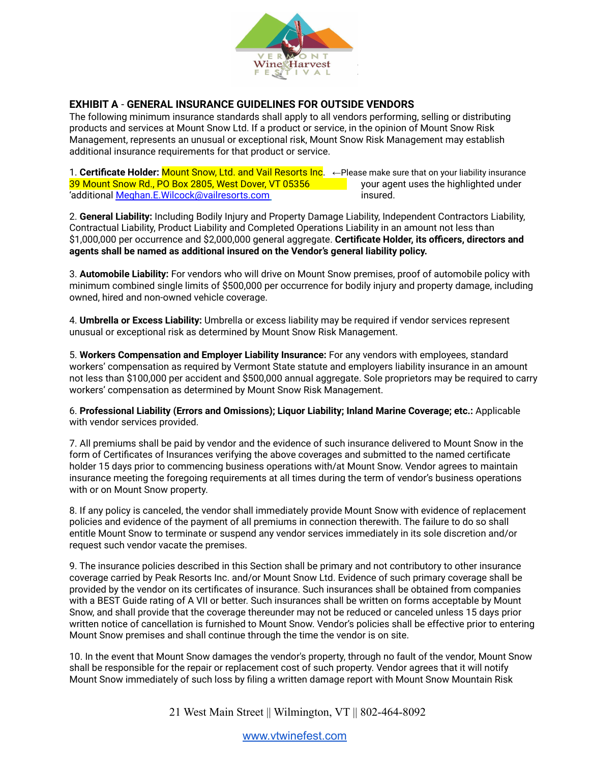

#### **EXHIBIT A** - **GENERAL INSURANCE GUIDELINES FOR OUTSIDE VENDORS**

The following minimum insurance standards shall apply to all vendors performing, selling or distributing products and services at Mount Snow Ltd. If a product or service, in the opinion of Mount Snow Risk Management, represents an unusual or exceptional risk, Mount Snow Risk Management may establish additional insurance requirements for that product or service.

1. **Certificate Holder:** Mount Snow, Ltd. and Vail Resorts Inc. ←Please make sure that on your liability insurance 39 Mount Snow Rd., PO Box 2805, West Dover, VT 05356 your agent uses the highlighted under 'additional Meghan.E.Wilcock@vailresorts.com insured.

2. **General Liability:** Including Bodily Injury and Property Damage Liability, Independent Contractors Liability, Contractual Liability, Product Liability and Completed Operations Liability in an amount not less than \$1,000,000 per occurrence and \$2,000,000 general aggregate. **Certificate Holder, its officers, directors and agents shall be named as additional insured on the Vendor's general liability policy.**

3. **Automobile Liability:** For vendors who will drive on Mount Snow premises, proof of automobile policy with minimum combined single limits of \$500,000 per occurrence for bodily injury and property damage, including owned, hired and non-owned vehicle coverage.

4. **Umbrella or Excess Liability:** Umbrella or excess liability may be required if vendor services represent unusual or exceptional risk as determined by Mount Snow Risk Management.

5. **Workers Compensation and Employer Liability Insurance:** For any vendors with employees, standard workers' compensation as required by Vermont State statute and employers liability insurance in an amount not less than \$100,000 per accident and \$500,000 annual aggregate. Sole proprietors may be required to carry workers' compensation as determined by Mount Snow Risk Management.

6. **Professional Liability (Errors and Omissions); Liquor Liability; Inland Marine Coverage; etc.:** Applicable with vendor services provided.

7. All premiums shall be paid by vendor and the evidence of such insurance delivered to Mount Snow in the form of Certificates of Insurances verifying the above coverages and submitted to the named certificate holder 15 days prior to commencing business operations with/at Mount Snow. Vendor agrees to maintain insurance meeting the foregoing requirements at all times during the term of vendor's business operations with or on Mount Snow property.

8. If any policy is canceled, the vendor shall immediately provide Mount Snow with evidence of replacement policies and evidence of the payment of all premiums in connection therewith. The failure to do so shall entitle Mount Snow to terminate or suspend any vendor services immediately in its sole discretion and/or request such vendor vacate the premises.

9. The insurance policies described in this Section shall be primary and not contributory to other insurance coverage carried by Peak Resorts Inc. and/or Mount Snow Ltd. Evidence of such primary coverage shall be provided by the vendor on its certificates of insurance. Such insurances shall be obtained from companies with a BEST Guide rating of A VII or better. Such insurances shall be written on forms acceptable by Mount Snow, and shall provide that the coverage thereunder may not be reduced or canceled unless 15 days prior written notice of cancellation is furnished to Mount Snow. Vendor's policies shall be effective prior to entering Mount Snow premises and shall continue through the time the vendor is on site.

10. In the event that Mount Snow damages the vendor's property, through no fault of the vendor, Mount Snow shall be responsible for the repair or replacement cost of such property. Vendor agrees that it will notify Mount Snow immediately of such loss by filing a written damage report with Mount Snow Mountain Risk

21 West Main Street || Wilmington, VT || 802-464-8092